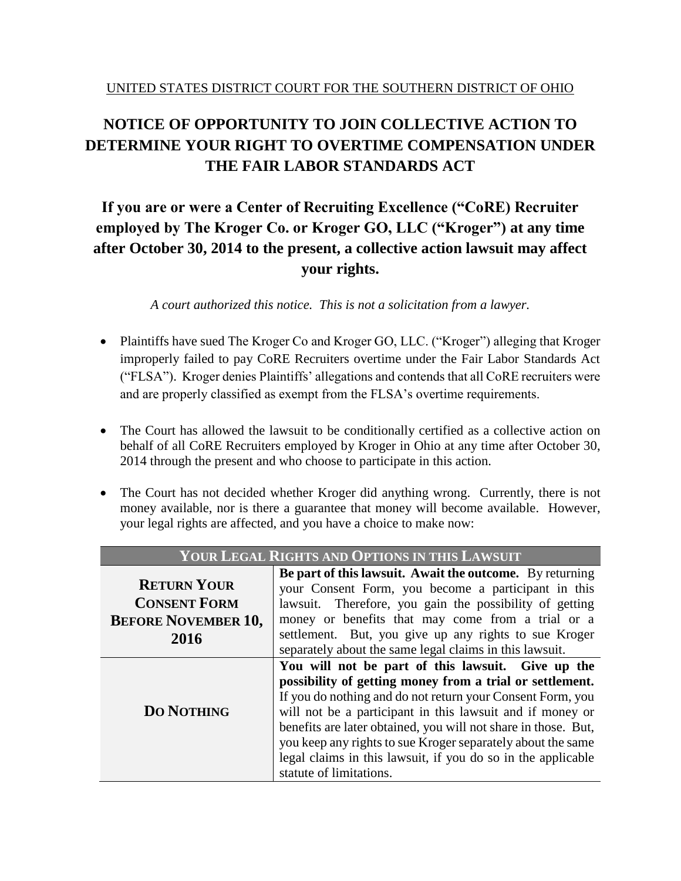### **NOTICE OF OPPORTUNITY TO JOIN COLLECTIVE ACTION TO DETERMINE YOUR RIGHT TO OVERTIME COMPENSATION UNDER THE FAIR LABOR STANDARDS ACT**

### **If you are or were a Center of Recruiting Excellence ("CoRE) Recruiter employed by The Kroger Co. or Kroger GO, LLC ("Kroger") at any time after October 30, 2014 to the present, a collective action lawsuit may affect your rights.**

*A court authorized this notice. This is not a solicitation from a lawyer.*

- Plaintiffs have sued The Kroger Co and Kroger GO, LLC. ("Kroger") alleging that Kroger improperly failed to pay CoRE Recruiters overtime under the Fair Labor Standards Act ("FLSA"). Kroger denies Plaintiffs' allegations and contends that all CoRE recruiters were and are properly classified as exempt from the FLSA's overtime requirements.
- The Court has allowed the lawsuit to be conditionally certified as a collective action on behalf of all CoRE Recruiters employed by Kroger in Ohio at any time after October 30, 2014 through the present and who choose to participate in this action.
- The Court has not decided whether Kroger did anything wrong. Currently, there is not money available, nor is there a guarantee that money will become available. However, your legal rights are affected, and you have a choice to make now:

| <b>YOUR LEGAL RIGHTS AND OPTIONS IN THIS LAWSUIT</b> |                                                                |  |
|------------------------------------------------------|----------------------------------------------------------------|--|
|                                                      | Be part of this lawsuit. Await the outcome. By returning       |  |
| <b>RETURN YOUR</b>                                   | your Consent Form, you become a participant in this            |  |
| <b>CONSENT FORM</b>                                  | lawsuit. Therefore, you gain the possibility of getting        |  |
| <b>BEFORE NOVEMBER 10,</b>                           | money or benefits that may come from a trial or a              |  |
| 2016                                                 | settlement. But, you give up any rights to sue Kroger          |  |
|                                                      | separately about the same legal claims in this lawsuit.        |  |
|                                                      | You will not be part of this lawsuit. Give up the              |  |
|                                                      | possibility of getting money from a trial or settlement.       |  |
|                                                      | If you do nothing and do not return your Consent Form, you     |  |
| <b>DO NOTHING</b>                                    | will not be a participant in this lawsuit and if money or      |  |
|                                                      | benefits are later obtained, you will not share in those. But, |  |
|                                                      | you keep any rights to sue Kroger separately about the same    |  |
|                                                      | legal claims in this lawsuit, if you do so in the applicable   |  |
|                                                      | statute of limitations.                                        |  |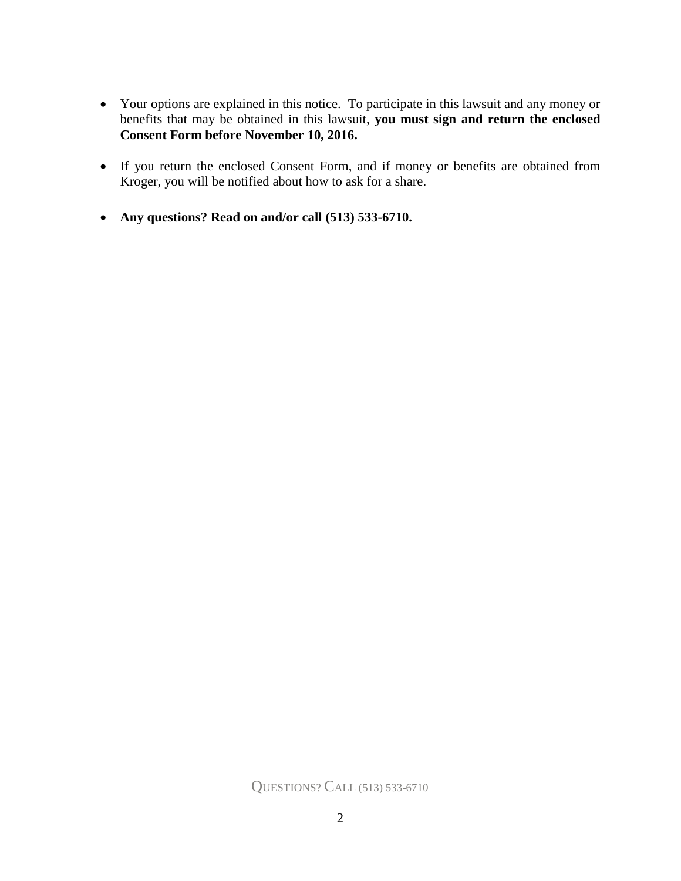- Your options are explained in this notice. To participate in this lawsuit and any money or benefits that may be obtained in this lawsuit, **you must sign and return the enclosed Consent Form before November 10, 2016.**
- If you return the enclosed Consent Form, and if money or benefits are obtained from Kroger, you will be notified about how to ask for a share.
- **Any questions? Read on and/or call (513) 533-6710.**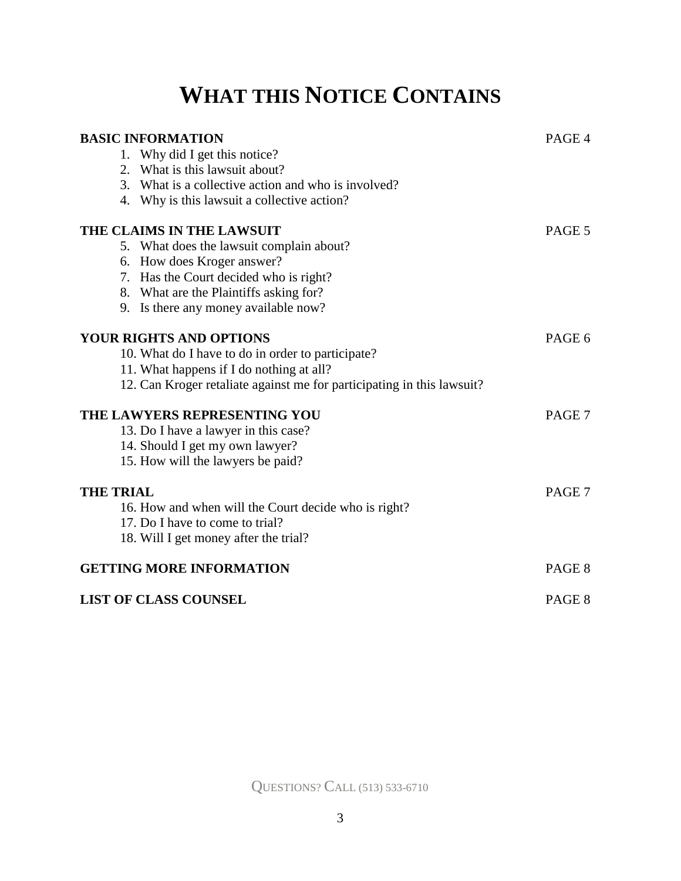# **WHAT THIS NOTICE CONTAINS**

| <b>BASIC INFORMATION</b>                                               |        |
|------------------------------------------------------------------------|--------|
| 1. Why did I get this notice?                                          |        |
| 2. What is this lawsuit about?                                         |        |
| 3. What is a collective action and who is involved?                    |        |
| 4. Why is this lawsuit a collective action?                            |        |
| THE CLAIMS IN THE LAWSUIT                                              | PAGE 5 |
| 5. What does the lawsuit complain about?                               |        |
| 6. How does Kroger answer?                                             |        |
| 7. Has the Court decided who is right?                                 |        |
| 8. What are the Plaintiffs asking for?                                 |        |
| 9. Is there any money available now?                                   |        |
| <b>YOUR RIGHTS AND OPTIONS</b>                                         |        |
| 10. What do I have to do in order to participate?                      |        |
| 11. What happens if I do nothing at all?                               |        |
| 12. Can Kroger retaliate against me for participating in this lawsuit? |        |
| THE LAWYERS REPRESENTING YOU                                           | PAGE 7 |
| 13. Do I have a lawyer in this case?                                   |        |
| 14. Should I get my own lawyer?                                        |        |
| 15. How will the lawyers be paid?                                      |        |
| <b>THE TRIAL</b>                                                       |        |
| 16. How and when will the Court decide who is right?                   |        |
| 17. Do I have to come to trial?                                        |        |
| 18. Will I get money after the trial?                                  |        |
| <b>GETTING MORE INFORMATION</b>                                        | PAGE 8 |
| <b>LIST OF CLASS COUNSEL</b>                                           | PAGE 8 |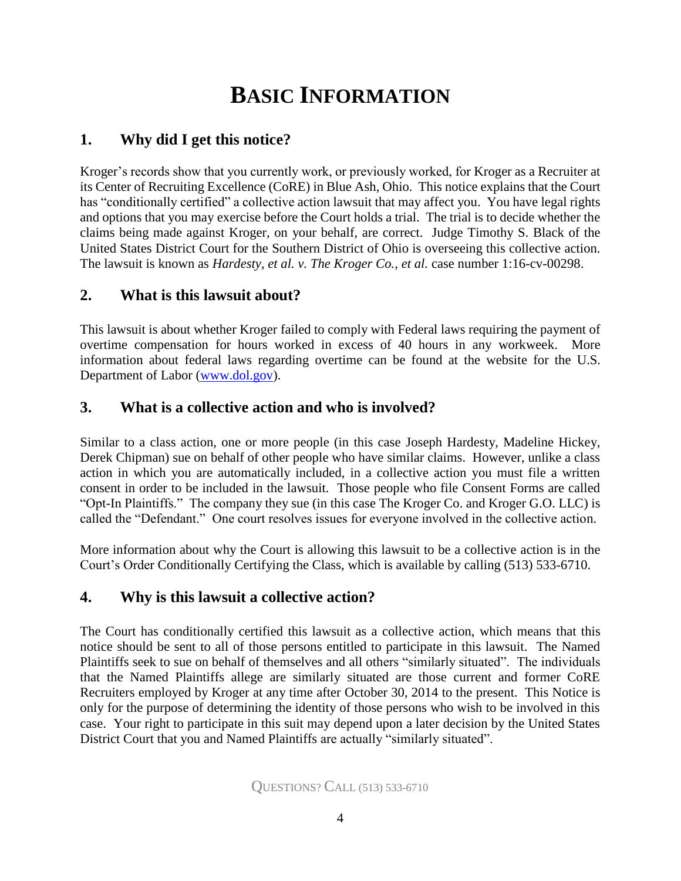# **BASIC INFORMATION**

#### **1. Why did I get this notice?**

Kroger's records show that you currently work, or previously worked, for Kroger as a Recruiter at its Center of Recruiting Excellence (CoRE) in Blue Ash, Ohio. This notice explains that the Court has "conditionally certified" a collective action lawsuit that may affect you. You have legal rights and options that you may exercise before the Court holds a trial. The trial is to decide whether the claims being made against Kroger, on your behalf, are correct. Judge Timothy S. Black of the United States District Court for the Southern District of Ohio is overseeing this collective action. The lawsuit is known as *Hardesty, et al. v. The Kroger Co., et al.* case number 1:16-cv-00298.

#### **2. What is this lawsuit about?**

This lawsuit is about whether Kroger failed to comply with Federal laws requiring the payment of overtime compensation for hours worked in excess of 40 hours in any workweek. More information about federal laws regarding overtime can be found at the website for the U.S. Department of Labor [\(www.dol.gov\)](http://www.dol.gov/).

#### **3. What is a collective action and who is involved?**

Similar to a class action, one or more people (in this case Joseph Hardesty, Madeline Hickey, Derek Chipman) sue on behalf of other people who have similar claims. However, unlike a class action in which you are automatically included, in a collective action you must file a written consent in order to be included in the lawsuit. Those people who file Consent Forms are called "Opt-In Plaintiffs." The company they sue (in this case The Kroger Co. and Kroger G.O. LLC) is called the "Defendant." One court resolves issues for everyone involved in the collective action.

More information about why the Court is allowing this lawsuit to be a collective action is in the Court's Order Conditionally Certifying the Class, which is available [by calling \(513\) 533-6710.](http://www.xyzmnoclassaction.com/)

#### **4. Why is this lawsuit a collective action?**

The Court has conditionally certified this lawsuit as a collective action, which means that this notice should be sent to all of those persons entitled to participate in this lawsuit. The Named Plaintiffs seek to sue on behalf of themselves and all others "similarly situated". The individuals that the Named Plaintiffs allege are similarly situated are those current and former CoRE Recruiters employed by Kroger at any time after October 30, 2014 to the present. This Notice is only for the purpose of determining the identity of those persons who wish to be involved in this case. Your right to participate in this suit may depend upon a later decision by the United States District Court that you and Named Plaintiffs are actually "similarly situated".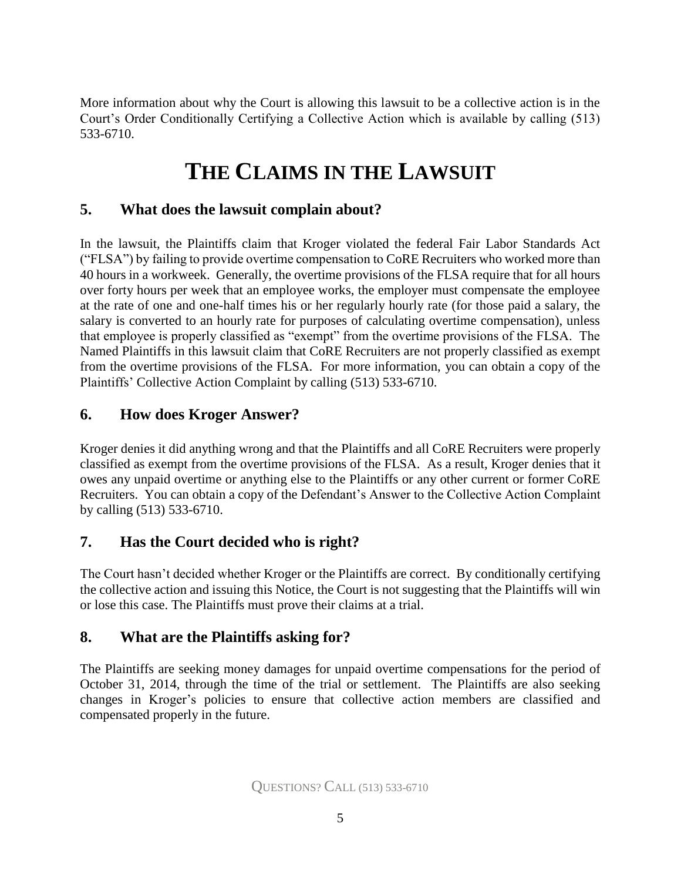More information about why the Court is allowing this lawsuit to be a collective action is in the Court's Order Conditionally Certifying a Collective Action which is available by calling (513) 533-6710.

## **THE CLAIMS IN THE LAWSUIT**

#### **5. What does the lawsuit complain about?**

In the lawsuit, the Plaintiffs claim that Kroger violated the federal Fair Labor Standards Act ("FLSA") by failing to provide overtime compensation to CoRE Recruiters who worked more than 40 hours in a workweek. Generally, the overtime provisions of the FLSA require that for all hours over forty hours per week that an employee works, the employer must compensate the employee at the rate of one and one-half times his or her regularly hourly rate (for those paid a salary, the salary is converted to an hourly rate for purposes of calculating overtime compensation), unless that employee is properly classified as "exempt" from the overtime provisions of the FLSA. The Named Plaintiffs in this lawsuit claim that CoRE Recruiters are not properly classified as exempt from the overtime provisions of the FLSA. For more information, you can obtain a copy of the Plaintiffs' Collective Action Complaint by calling (513) 533-6710.

#### **6. How does Kroger Answer?**

Kroger denies it did anything wrong and that the Plaintiffs and all CoRE Recruiters were properly classified as exempt from the overtime provisions of the FLSA. As a result, Kroger denies that it owes any unpaid overtime or anything else to the Plaintiffs or any other current or former CoRE Recruiters. You can obtain a copy of the Defendant's Answer to the Collective Action Complaint by calling (513) 533-6710.

#### **7. Has the Court decided who is right?**

The Court hasn't decided whether Kroger or the Plaintiffs are correct. By conditionally certifying the collective action and issuing this Notice, the Court is not suggesting that the Plaintiffs will win or lose this case. The Plaintiffs must prove their claims at a trial.

#### **8. What are the Plaintiffs asking for?**

The Plaintiffs are seeking money damages for unpaid overtime compensations for the period of October 31, 2014, through the time of the trial or settlement. The Plaintiffs are also seeking changes in Kroger's policies to ensure that collective action members are classified and compensated properly in the future.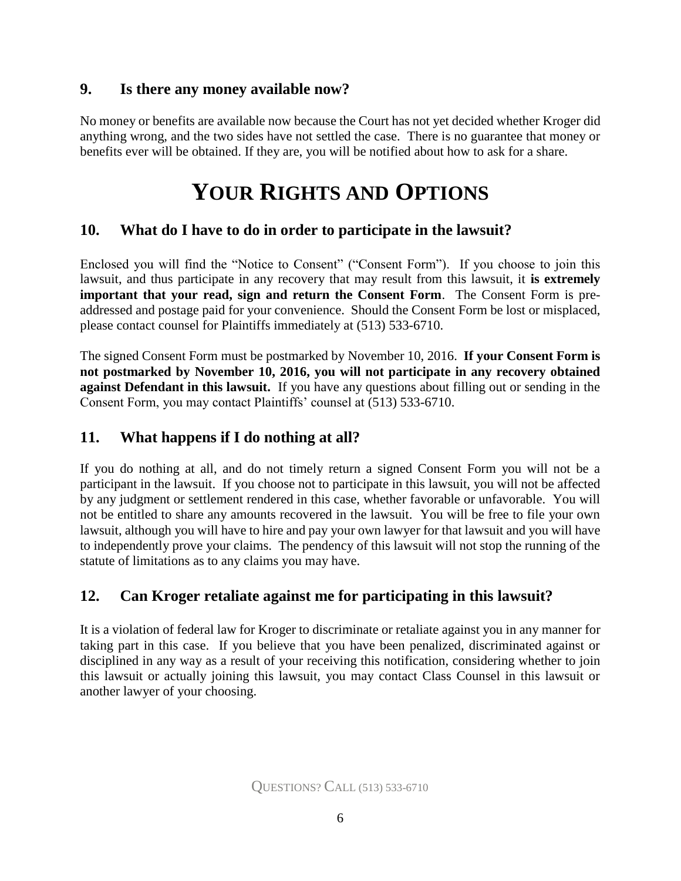#### **9. Is there any money available now?**

No money or benefits are available now because the Court has not yet decided whether Kroger did anything wrong, and the two sides have not settled the case. There is no guarantee that money or benefits ever will be obtained. If they are, you will be notified about how to ask for a share.

## **YOUR RIGHTS AND OPTIONS**

#### **10. What do I have to do in order to participate in the lawsuit?**

Enclosed you will find the "Notice to Consent" ("Consent Form"). If you choose to join this lawsuit, and thus participate in any recovery that may result from this lawsuit, it **is extremely important that your read, sign and return the Consent Form**. The Consent Form is preaddressed and postage paid for your convenience. Should the Consent Form be lost or misplaced, please contact counsel for Plaintiffs immediately at (513) 533-6710.

The signed Consent Form must be postmarked by November 10, 2016. **If your Consent Form is not postmarked by November 10, 2016, you will not participate in any recovery obtained against Defendant in this lawsuit.** If you have any questions about filling out or sending in the Consent Form, you may contact Plaintiffs' counsel at (513) 533-6710.

#### **11. What happens if I do nothing at all?**

If you do nothing at all, and do not timely return a signed Consent Form you will not be a participant in the lawsuit. If you choose not to participate in this lawsuit, you will not be affected by any judgment or settlement rendered in this case, whether favorable or unfavorable. You will not be entitled to share any amounts recovered in the lawsuit. You will be free to file your own lawsuit, although you will have to hire and pay your own lawyer for that lawsuit and you will have to independently prove your claims. The pendency of this lawsuit will not stop the running of the statute of limitations as to any claims you may have.

#### **12. Can Kroger retaliate against me for participating in this lawsuit?**

It is a violation of federal law for Kroger to discriminate or retaliate against you in any manner for taking part in this case. If you believe that you have been penalized, discriminated against or disciplined in any way as a result of your receiving this notification, considering whether to join this lawsuit or actually joining this lawsuit, you may contact Class Counsel in this lawsuit or another lawyer of your choosing.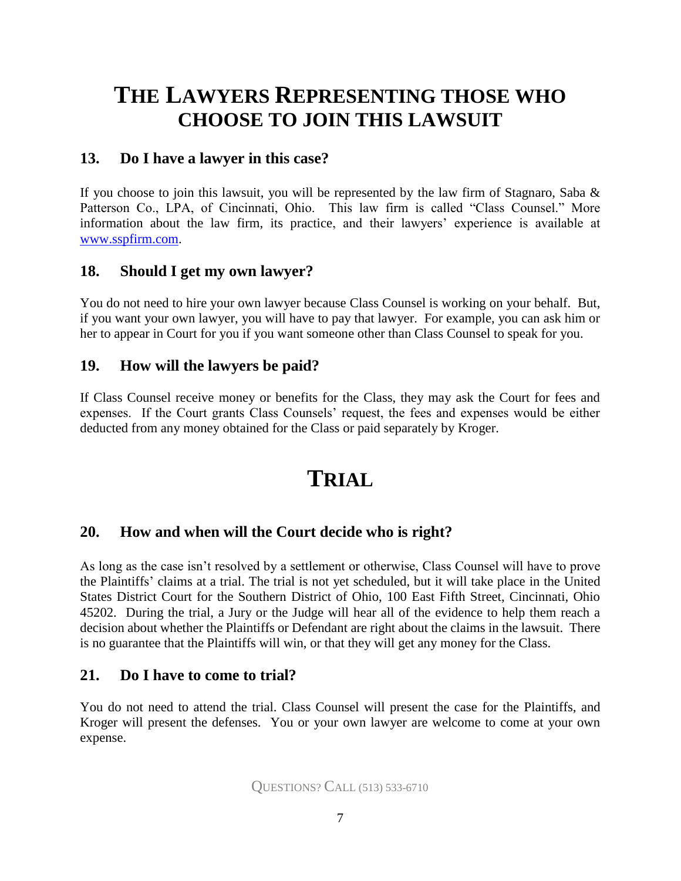### **THE LAWYERS REPRESENTING THOSE WHO CHOOSE TO JOIN THIS LAWSUIT**

#### **13. Do I have a lawyer in this case?**

If you choose to join this lawsuit, you will be represented by the law firm of Stagnaro, Saba  $\&$ Patterson Co., LPA, of Cincinnati, Ohio. This law firm is called "Class Counsel." More information about the law firm, its practice, and their lawyers' experience is available at [www.sspfirm.com.](http://www.sspfirm.com/)

#### **18. Should I get my own lawyer?**

You do not need to hire your own lawyer because Class Counsel is working on your behalf. But, if you want your own lawyer, you will have to pay that lawyer. For example, you can ask him or her to appear in Court for you if you want someone other than Class Counsel to speak for you.

#### **19. How will the lawyers be paid?**

If Class Counsel receive money or benefits for the Class, they may ask the Court for fees and expenses. If the Court grants Class Counsels' request, the fees and expenses would be either deducted from any money obtained for the Class or paid separately by Kroger.

### **TRIAL**

#### **20. How and when will the Court decide who is right?**

As long as the case isn't resolved by a settlement or otherwise, Class Counsel will have to prove the Plaintiffs' claims at a trial. The trial is not yet scheduled, but it will take place in the United States District Court for the Southern District of Ohio, 100 East Fifth Street, Cincinnati, Ohio 45202. During the trial, a Jury or the Judge will hear all of the evidence to help them reach a decision about whether the Plaintiffs or Defendant are right about the claims in the lawsuit. There is no guarantee that the Plaintiffs will win, or that they will get any money for the Class.

#### **21. Do I have to come to trial?**

You do not need to attend the trial. Class Counsel will present the case for the Plaintiffs, and Kroger will present the defenses. You or your own lawyer are welcome to come at your own expense.